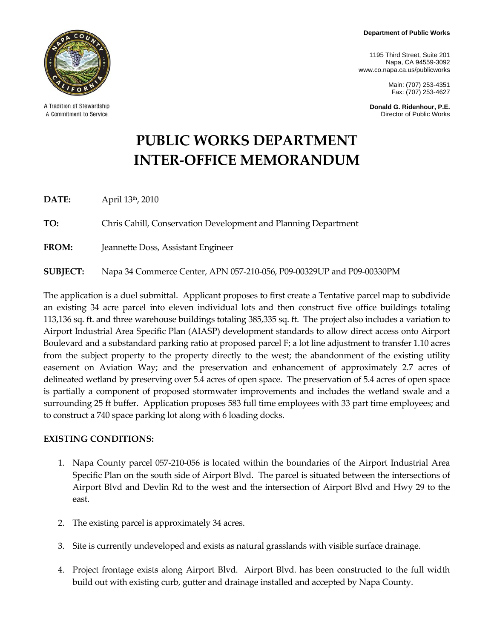**Department of Public Works** 

1195 Third Street, Suite 201 Napa, CA 94559-3092 www.co.napa.ca.us/publicworks

> Main: (707) 253-4351 Fax: (707) 253-4627

**Donald G. Ridenhour, P.E.**  Director of Public Works



A Tradition of Stewardship A Commitment to Service

# **PUBLIC WORKS DEPARTMENT INTER‐OFFICE MEMORANDUM**

**DATE:**  April 13th, 2010

**TO:** Chris Cahill, Conservation Development and Planning Department

**FROM:** Jeannette Doss, Assistant Engineer

**SUBJECT:** Napa 34 Commerce Center, APN 057‐210‐056, P09‐00329UP and P09‐00330PM

The application is a duel submittal. Applicant proposes to first create a Tentative parcel map to subdivide an existing 34 acre parcel into eleven individual lots and then construct five office buildings totaling 113,136 sq. ft. and three warehouse buildings totaling 385,335 sq. ft. The project also includes a variation to Airport Industrial Area Specific Plan (AIASP) development standards to allow direct access onto Airport Boulevard and a substandard parking ratio at proposed parcel F; a lot line adjustment to transfer 1.10 acres from the subject property to the property directly to the west; the abandonment of the existing utility easement on Aviation Way; and the preservation and enhancement of approximately 2.7 acres of delineated wetland by preserving over 5.4 acres of open space. The preservation of 5.4 acres of open space is partially a component of proposed stormwater improvements and includes the wetland swale and a surrounding 25 ft buffer. Application proposes 583 full time employees with 33 part time employees; and to construct a 740 space parking lot along with 6 loading docks.

#### **EXISTING CONDITIONS:**

- 1. Napa County parcel 057‐210‐056 is located within the boundaries of the Airport Industrial Area Specific Plan on the south side of Airport Blvd. The parcel is situated between the intersections of Airport Blvd and Devlin Rd to the west and the intersection of Airport Blvd and Hwy 29 to the east.
- 2. The existing parcel is approximately 34 acres.
- 3. Site is currently undeveloped and exists as natural grasslands with visible surface drainage.
- 4. Project frontage exists along Airport Blvd. Airport Blvd. has been constructed to the full width build out with existing curb, gutter and drainage installed and accepted by Napa County.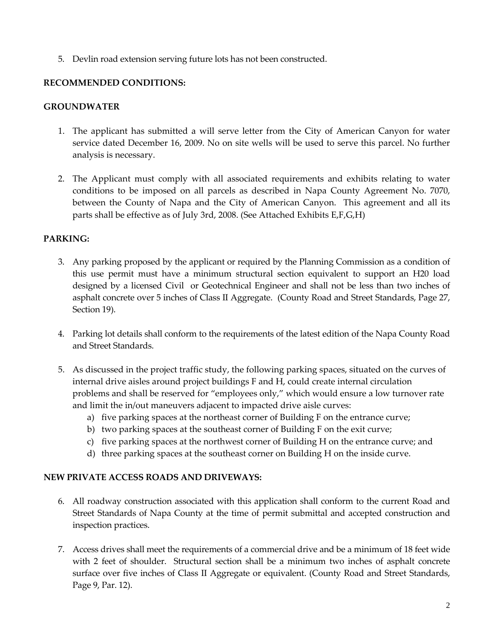5. Devlin road extension serving future lots has not been constructed.

## **RECOMMENDED CONDITIONS:**

## **GROUNDWATER**

- 1. The applicant has submitted a will serve letter from the City of American Canyon for water service dated December 16, 2009. No on site wells will be used to serve this parcel. No further analysis is necessary.
- 2. The Applicant must comply with all associated requirements and exhibits relating to water conditions to be imposed on all parcels as described in Napa County Agreement No. 7070, between the County of Napa and the City of American Canyon. This agreement and all its parts shall be effective as of July 3rd, 2008. (See Attached Exhibits E,F,G,H)

## **PARKING:**

- 3. Any parking proposed by the applicant or required by the Planning Commission as a condition of this use permit must have a minimum structural section equivalent to support an H20 load designed by a licensed Civil or Geotechnical Engineer and shall not be less than two inches of asphalt concrete over 5 inches of Class II Aggregate. (County Road and Street Standards, Page 27, Section 19).
- 4. Parking lot details shall conform to the requirements of the latest edition of the Napa County Road and Street Standards.
- 5. As discussed in the project traffic study, the following parking spaces, situated on the curves of internal drive aisles around project buildings F and H, could create internal circulation problems and shall be reserved for "employees only," which would ensure a low turnover rate and limit the in/out maneuvers adjacent to impacted drive aisle curves:
	- a) five parking spaces at the northeast corner of Building F on the entrance curve;
	- b) two parking spaces at the southeast corner of Building F on the exit curve;
	- c) five parking spaces at the northwest corner of Building H on the entrance curve; and
	- d) three parking spaces at the southeast corner on Building H on the inside curve.

## **NEW PRIVATE ACCESS ROADS AND DRIVEWAYS:**

- 6. All roadway construction associated with this application shall conform to the current Road and Street Standards of Napa County at the time of permit submittal and accepted construction and inspection practices.
- 7. Access drives shall meet the requirements of a commercial drive and be a minimum of 18 feet wide with 2 feet of shoulder. Structural section shall be a minimum two inches of asphalt concrete surface over five inches of Class II Aggregate or equivalent. (County Road and Street Standards, Page 9, Par. 12).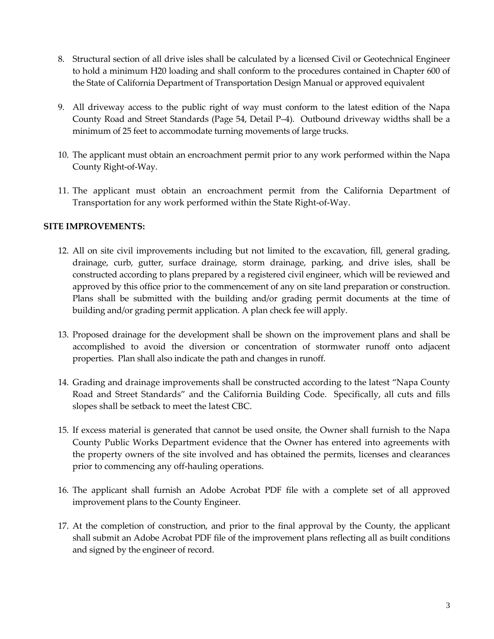- 8. Structural section of all drive isles shall be calculated by a licensed Civil or Geotechnical Engineer to hold a minimum H20 loading and shall conform to the procedures contained in Chapter 600 of the State of California Department of Transportation Design Manual or approved equivalent
- 9. All driveway access to the public right of way must conform to the latest edition of the Napa County Road and Street Standards (Page 54, Detail P–4). Outbound driveway widths shall be a minimum of 25 feet to accommodate turning movements of large trucks.
- 10. The applicant must obtain an encroachment permit prior to any work performed within the Napa County Right‐of‐Way.
- 11. The applicant must obtain an encroachment permit from the California Department of Transportation for any work performed within the State Right‐of‐Way.

#### **SITE IMPROVEMENTS:**

- 12. All on site civil improvements including but not limited to the excavation, fill, general grading, drainage, curb, gutter, surface drainage, storm drainage, parking, and drive isles, shall be constructed according to plans prepared by a registered civil engineer, which will be reviewed and approved by this office prior to the commencement of any on site land preparation or construction. Plans shall be submitted with the building and/or grading permit documents at the time of building and/or grading permit application. A plan check fee will apply.
- 13. Proposed drainage for the development shall be shown on the improvement plans and shall be accomplished to avoid the diversion or concentration of stormwater runoff onto adjacent properties. Plan shall also indicate the path and changes in runoff.
- 14. Grading and drainage improvements shall be constructed according to the latest "Napa County Road and Street Standards" and the California Building Code. Specifically, all cuts and fills slopes shall be setback to meet the latest CBC.
- 15. If excess material is generated that cannot be used onsite, the Owner shall furnish to the Napa County Public Works Department evidence that the Owner has entered into agreements with the property owners of the site involved and has obtained the permits, licenses and clearances prior to commencing any off-hauling operations.
- 16. The applicant shall furnish an Adobe Acrobat PDF file with a complete set of all approved improvement plans to the County Engineer.
- 17. At the completion of construction, and prior to the final approval by the County, the applicant shall submit an Adobe Acrobat PDF file of the improvement plans reflecting all as built conditions and signed by the engineer of record.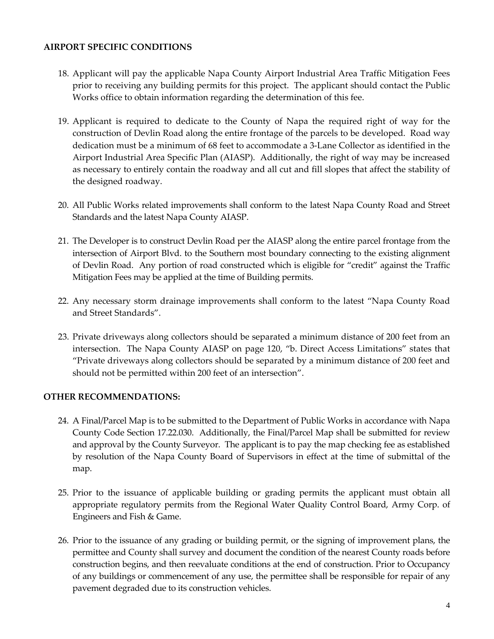#### **AIRPORT SPECIFIC CONDITIONS**

- 18. Applicant will pay the applicable Napa County Airport Industrial Area Traffic Mitigation Fees prior to receiving any building permits for this project. The applicant should contact the Public Works office to obtain information regarding the determination of this fee.
- 19. Applicant is required to dedicate to the County of Napa the required right of way for the construction of Devlin Road along the entire frontage of the parcels to be developed. Road way dedication must be a minimum of 68 feet to accommodate a 3‐Lane Collector as identified in the Airport Industrial Area Specific Plan (AIASP). Additionally, the right of way may be increased as necessary to entirely contain the roadway and all cut and fill slopes that affect the stability of the designed roadway.
- 20. All Public Works related improvements shall conform to the latest Napa County Road and Street Standards and the latest Napa County AIASP.
- 21. The Developer is to construct Devlin Road per the AIASP along the entire parcel frontage from the intersection of Airport Blvd. to the Southern most boundary connecting to the existing alignment of Devlin Road. Any portion of road constructed which is eligible for "credit" against the Traffic Mitigation Fees may be applied at the time of Building permits.
- 22. Any necessary storm drainage improvements shall conform to the latest "Napa County Road and Street Standards".
- 23. Private driveways along collectors should be separated a minimum distance of 200 feet from an intersection. The Napa County AIASP on page 120, "b. Direct Access Limitations" states that "Private driveways along collectors should be separated by a minimum distance of 200 feet and should not be permitted within 200 feet of an intersection".

## **OTHER RECOMMENDATIONS:**

- 24. A Final/Parcel Map is to be submitted to the Department of Public Works in accordance with Napa County Code Section 17.22.030. Additionally, the Final/Parcel Map shall be submitted for review and approval by the County Surveyor. The applicant is to pay the map checking fee as established by resolution of the Napa County Board of Supervisors in effect at the time of submittal of the map.
- 25. Prior to the issuance of applicable building or grading permits the applicant must obtain all appropriate regulatory permits from the Regional Water Quality Control Board, Army Corp. of Engineers and Fish & Game.
- 26. Prior to the issuance of any grading or building permit, or the signing of improvement plans, the permittee and County shall survey and document the condition of the nearest County roads before construction begins, and then reevaluate conditions at the end of construction. Prior to Occupancy of any buildings or commencement of any use, the permittee shall be responsible for repair of any pavement degraded due to its construction vehicles.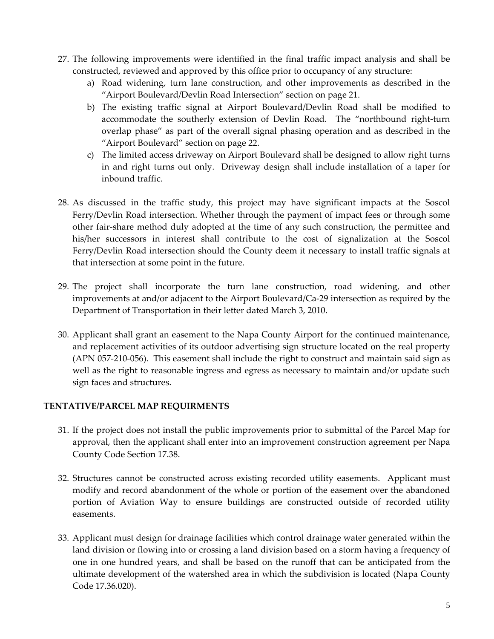- 27. The following improvements were identified in the final traffic impact analysis and shall be constructed, reviewed and approved by this office prior to occupancy of any structure:
	- a) Road widening, turn lane construction, and other improvements as described in the "Airport Boulevard/Devlin Road Intersection" section on page 21.
	- b) The existing traffic signal at Airport Boulevard/Devlin Road shall be modified to accommodate the southerly extension of Devlin Road. The "northbound right-turn overlap phase" as part of the overall signal phasing operation and as described in the "Airport Boulevard" section on page 22.
	- c) The limited access driveway on Airport Boulevard shall be designed to allow right turns in and right turns out only. Driveway design shall include installation of a taper for inbound traffic.
- 28. As discussed in the traffic study, this project may have significant impacts at the Soscol Ferry/Devlin Road intersection. Whether through the payment of impact fees or through some other fair‐share method duly adopted at the time of any such construction, the permittee and his/her successors in interest shall contribute to the cost of signalization at the Soscol Ferry/Devlin Road intersection should the County deem it necessary to install traffic signals at that intersection at some point in the future.
- 29. The project shall incorporate the turn lane construction, road widening, and other improvements at and/or adjacent to the Airport Boulevard/Ca‐29 intersection as required by the Department of Transportation in their letter dated March 3, 2010.
- 30. Applicant shall grant an easement to the Napa County Airport for the continued maintenance, and replacement activities of its outdoor advertising sign structure located on the real property (APN 057‐210‐056). This easement shall include the right to construct and maintain said sign as well as the right to reasonable ingress and egress as necessary to maintain and/or update such sign faces and structures.

## **TENTATIVE/PARCEL MAP REQUIRMENTS**

- 31. If the project does not install the public improvements prior to submittal of the Parcel Map for approval, then the applicant shall enter into an improvement construction agreement per Napa County Code Section 17.38.
- 32. Structures cannot be constructed across existing recorded utility easements. Applicant must modify and record abandonment of the whole or portion of the easement over the abandoned portion of Aviation Way to ensure buildings are constructed outside of recorded utility easements.
- 33. Applicant must design for drainage facilities which control drainage water generated within the land division or flowing into or crossing a land division based on a storm having a frequency of one in one hundred years, and shall be based on the runoff that can be anticipated from the ultimate development of the watershed area in which the subdivision is located (Napa County Code 17.36.020).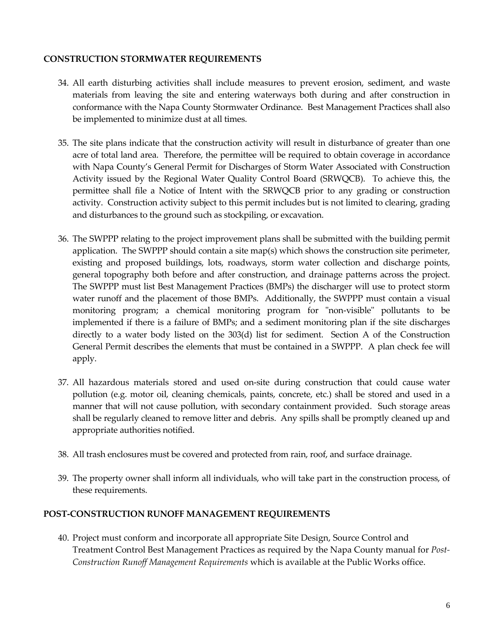#### **CONSTRUCTION STORMWATER REQUIREMENTS**

- 34. All earth disturbing activities shall include measures to prevent erosion, sediment, and waste materials from leaving the site and entering waterways both during and after construction in conformance with the Napa County Stormwater Ordinance. Best Management Practices shall also be implemented to minimize dust at all times.
- 35. The site plans indicate that the construction activity will result in disturbance of greater than one acre of total land area. Therefore, the permittee will be required to obtain coverage in accordance with Napa County's General Permit for Discharges of Storm Water Associated with Construction Activity issued by the Regional Water Quality Control Board (SRWQCB). To achieve this, the permittee shall file a Notice of Intent with the SRWQCB prior to any grading or construction activity. Construction activity subject to this permit includes but is not limited to clearing, grading and disturbances to the ground such as stockpiling, or excavation.
- 36. The SWPPP relating to the project improvement plans shall be submitted with the building permit application. The SWPPP should contain a site map(s) which shows the construction site perimeter, existing and proposed buildings, lots, roadways, storm water collection and discharge points, general topography both before and after construction, and drainage patterns across the project. The SWPPP must list Best Management Practices (BMPs) the discharger will use to protect storm water runoff and the placement of those BMPs. Additionally, the SWPPP must contain a visual monitoring program; a chemical monitoring program for "non-visible" pollutants to be implemented if there is a failure of BMPs; and a sediment monitoring plan if the site discharges directly to a water body listed on the  $303(d)$  list for sediment. Section A of the Construction General Permit describes the elements that must be contained in a SWPPP. A plan check fee will apply.
- 37. All hazardous materials stored and used on‐site during construction that could cause water pollution (e.g. motor oil, cleaning chemicals, paints, concrete, etc.) shall be stored and used in a manner that will not cause pollution, with secondary containment provided. Such storage areas shall be regularly cleaned to remove litter and debris. Any spills shall be promptly cleaned up and appropriate authorities notified.
- 38. All trash enclosures must be covered and protected from rain, roof, and surface drainage.
- 39. The property owner shall inform all individuals, who will take part in the construction process, of these requirements.

#### **POST‐CONSTRUCTION RUNOFF MANAGEMENT REQUIREMENTS**

40. Project must conform and incorporate all appropriate Site Design, Source Control and Treatment Control Best Management Practices as required by the Napa County manual for *Post‐ Construction Runoff Management Requirements* which is available at the Public Works office.